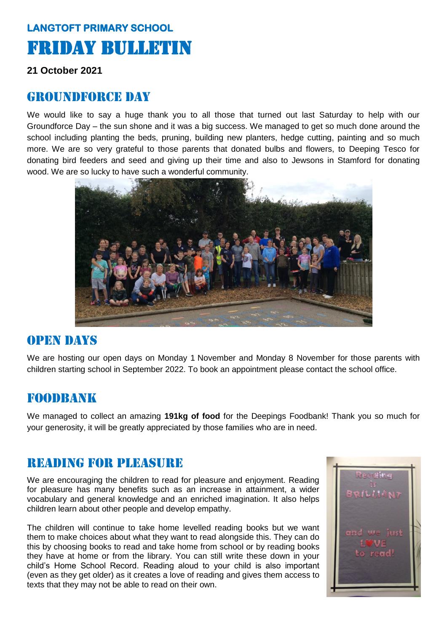# **LANGTOFT PRIMARY SCHOOL**  Friday Bulletin

#### **21 October 2021**

#### GROUNDFORCE DAY

We would like to say a huge thank you to all those that turned out last Saturday to help with our Groundforce Day – the sun shone and it was a big success. We managed to get so much done around the school including planting the beds, pruning, building new planters, hedge cutting, painting and so much more. We are so very grateful to those parents that donated bulbs and flowers, to Deeping Tesco for donating bird feeders and seed and giving up their time and also to Jewsons in Stamford for donating wood. We are so lucky to have such a wonderful community.



#### Open days

We are hosting our open days on Monday 1 November and Monday 8 November for those parents with children starting school in September 2022. To book an appointment please contact the school office.

#### foodbank

We managed to collect an amazing **191kg of food** for the Deepings Foodbank! Thank you so much for your generosity, it will be greatly appreciated by those families who are in need.

#### Reading for pleasure

We are encouraging the children to read for pleasure and enjoyment. Reading for pleasure has many benefits such as an increase in attainment, a wider vocabulary and general knowledge and an enriched imagination. It also helps children learn about other people and develop empathy.

The children will continue to take home levelled reading books but we want them to make choices about what they want to read alongside this. They can do this by choosing books to read and take home from school or by reading books they have at home or from the library. You can still write these down in your child's Home School Record. Reading aloud to your child is also important (even as they get older) as it creates a love of reading and gives them access to texts that they may not be able to read on their own.

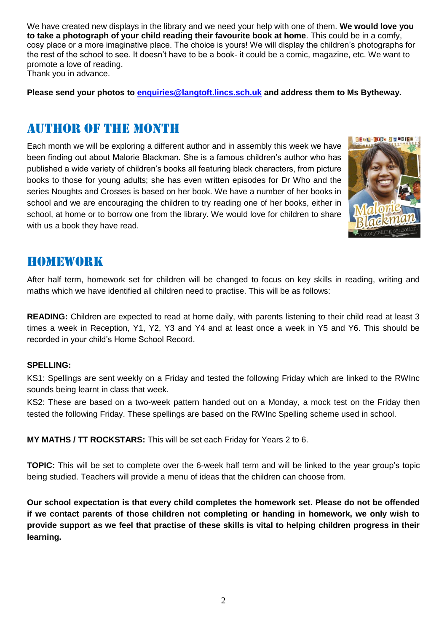We have created new displays in the library and we need your help with one of them. **We would love you to take a photograph of your child reading their favourite book at home**. This could be in a comfy, cosy place or a more imaginative place. The choice is yours! We will display the children's photographs for the rest of the school to see. It doesn't have to be a book- it could be a comic, magazine, etc. We want to promote a love of reading. Thank you in advance.

**Please send your photos to [enquiries@langtoft.lincs.sch.uk](mailto:enquiries@langtoft.lincs.sch.uk) and address them to Ms Bytheway.**

#### Author of the month

Each month we will be exploring a different author and in assembly this week we have been finding out about Malorie Blackman. She is a famous children's author who has published a wide variety of children's books all featuring black characters, from picture books to those for young adults; she has even written episodes for Dr Who and the series Noughts and Crosses is based on her book. We have a number of her books in school and we are encouraging the children to try reading one of her books, either in school, at home or to borrow one from the library. We would love for children to share with us a book they have read.



### homework

After half term, homework set for children will be changed to focus on key skills in reading, writing and maths which we have identified all children need to practise. This will be as follows:

**READING:** Children are expected to read at home daily, with parents listening to their child read at least 3 times a week in Reception, Y1, Y2, Y3 and Y4 and at least once a week in Y5 and Y6. This should be recorded in your child's Home School Record.

#### **SPELLING:**

KS1: Spellings are sent weekly on a Friday and tested the following Friday which are linked to the RWInc sounds being learnt in class that week.

KS2: These are based on a two-week pattern handed out on a Monday, a mock test on the Friday then tested the following Friday. These spellings are based on the RWInc Spelling scheme used in school.

**MY MATHS / TT ROCKSTARS:** This will be set each Friday for Years 2 to 6.

**TOPIC:** This will be set to complete over the 6-week half term and will be linked to the year group's topic being studied. Teachers will provide a menu of ideas that the children can choose from.

**Our school expectation is that every child completes the homework set. Please do not be offended if we contact parents of those children not completing or handing in homework, we only wish to provide support as we feel that practise of these skills is vital to helping children progress in their learning.**